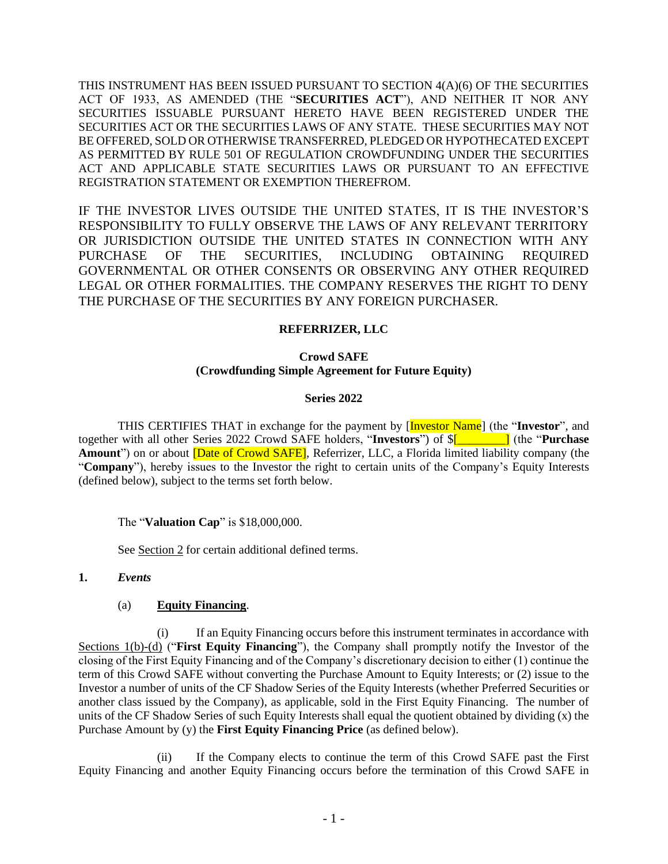THIS INSTRUMENT HAS BEEN ISSUED PURSUANT TO SECTION 4(A)(6) OF THE SECURITIES ACT OF 1933, AS AMENDED (THE "**SECURITIES ACT**"), AND NEITHER IT NOR ANY SECURITIES ISSUABLE PURSUANT HERETO HAVE BEEN REGISTERED UNDER THE SECURITIES ACT OR THE SECURITIES LAWS OF ANY STATE. THESE SECURITIES MAY NOT BE OFFERED, SOLD OR OTHERWISE TRANSFERRED, PLEDGED OR HYPOTHECATED EXCEPT AS PERMITTED BY RULE 501 OF REGULATION CROWDFUNDING UNDER THE SECURITIES ACT AND APPLICABLE STATE SECURITIES LAWS OR PURSUANT TO AN EFFECTIVE REGISTRATION STATEMENT OR EXEMPTION THEREFROM.

IF THE INVESTOR LIVES OUTSIDE THE UNITED STATES, IT IS THE INVESTOR'S RESPONSIBILITY TO FULLY OBSERVE THE LAWS OF ANY RELEVANT TERRITORY OR JURISDICTION OUTSIDE THE UNITED STATES IN CONNECTION WITH ANY PURCHASE OF THE SECURITIES, INCLUDING OBTAINING REQUIRED GOVERNMENTAL OR OTHER CONSENTS OR OBSERVING ANY OTHER REQUIRED LEGAL OR OTHER FORMALITIES. THE COMPANY RESERVES THE RIGHT TO DENY THE PURCHASE OF THE SECURITIES BY ANY FOREIGN PURCHASER.

## **REFERRIZER, LLC**

# **Crowd SAFE (Crowdfunding Simple Agreement for Future Equity)**

#### **Series 2022**

THIS CERTIFIES THAT in exchange for the payment by [Investor Name] (the "**Investor**", and together with all other Series 2022 Crowd SAFE holders, "**Investors**") of \$[*\_\_\_\_\_\_\_\_*] (the "**Purchase Amount**") on or about [Date of Crowd SAFE], Referrizer, LLC, a Florida limited liability company (the "**Company**"), hereby issues to the Investor the right to certain units of the Company's Equity Interests (defined below), subject to the terms set forth below.

The "**Valuation Cap**" is \$18,000,000.

See Section 2 for certain additional defined terms.

#### **1.** *Events*

# (a) **Equity Financing**.

(i) If an Equity Financing occurs before this instrument terminates in accordance with Sections 1(b)-(d) ("**First Equity Financing**"), the Company shall promptly notify the Investor of the closing of the First Equity Financing and of the Company's discretionary decision to either (1) continue the term of this Crowd SAFE without converting the Purchase Amount to Equity Interests; or (2) issue to the Investor a number of units of the CF Shadow Series of the Equity Interests (whether Preferred Securities or another class issued by the Company), as applicable, sold in the First Equity Financing. The number of units of the CF Shadow Series of such Equity Interests shall equal the quotient obtained by dividing (x) the Purchase Amount by (y) the **First Equity Financing Price** (as defined below).

(ii) If the Company elects to continue the term of this Crowd SAFE past the First Equity Financing and another Equity Financing occurs before the termination of this Crowd SAFE in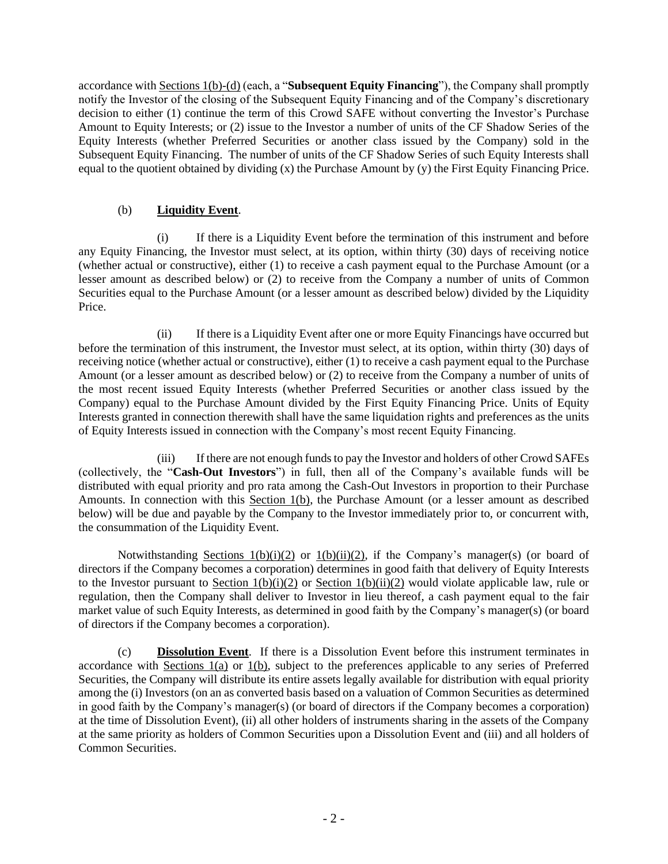accordance with Sections 1(b)-(d) (each, a "**Subsequent Equity Financing**"), the Company shall promptly notify the Investor of the closing of the Subsequent Equity Financing and of the Company's discretionary decision to either (1) continue the term of this Crowd SAFE without converting the Investor's Purchase Amount to Equity Interests; or (2) issue to the Investor a number of units of the CF Shadow Series of the Equity Interests (whether Preferred Securities or another class issued by the Company) sold in the Subsequent Equity Financing. The number of units of the CF Shadow Series of such Equity Interests shall equal to the quotient obtained by dividing (x) the Purchase Amount by (y) the First Equity Financing Price.

# (b) **Liquidity Event**.

(i) If there is a Liquidity Event before the termination of this instrument and before any Equity Financing, the Investor must select, at its option, within thirty (30) days of receiving notice (whether actual or constructive), either (1) to receive a cash payment equal to the Purchase Amount (or a lesser amount as described below) or (2) to receive from the Company a number of units of Common Securities equal to the Purchase Amount (or a lesser amount as described below) divided by the Liquidity Price.

(ii) If there is a Liquidity Event after one or more Equity Financings have occurred but before the termination of this instrument, the Investor must select, at its option, within thirty (30) days of receiving notice (whether actual or constructive), either (1) to receive a cash payment equal to the Purchase Amount (or a lesser amount as described below) or (2) to receive from the Company a number of units of the most recent issued Equity Interests (whether Preferred Securities or another class issued by the Company) equal to the Purchase Amount divided by the First Equity Financing Price. Units of Equity Interests granted in connection therewith shall have the same liquidation rights and preferences as the units of Equity Interests issued in connection with the Company's most recent Equity Financing.

(iii) If there are not enough funds to pay the Investor and holders of other Crowd SAFEs (collectively, the "**Cash-Out Investors**") in full, then all of the Company's available funds will be distributed with equal priority and pro rata among the Cash-Out Investors in proportion to their Purchase Amounts. In connection with this Section 1(b), the Purchase Amount (or a lesser amount as described below) will be due and payable by the Company to the Investor immediately prior to, or concurrent with, the consummation of the Liquidity Event.

Notwithstanding Sections  $1(b)(i)(2)$  or  $1(b)(ii)(2)$ , if the Company's manager(s) (or board of directors if the Company becomes a corporation) determines in good faith that delivery of Equity Interests to the Investor pursuant to Section  $1(b)(i)(2)$  or Section  $1(b)(ii)(2)$  would violate applicable law, rule or regulation, then the Company shall deliver to Investor in lieu thereof, a cash payment equal to the fair market value of such Equity Interests, as determined in good faith by the Company's manager(s) (or board of directors if the Company becomes a corporation).

(c) **Dissolution Event**. If there is a Dissolution Event before this instrument terminates in accordance with Sections 1(a) or 1(b), subject to the preferences applicable to any series of Preferred Securities, the Company will distribute its entire assets legally available for distribution with equal priority among the (i) Investors (on an as converted basis based on a valuation of Common Securities as determined in good faith by the Company's manager(s) (or board of directors if the Company becomes a corporation) at the time of Dissolution Event), (ii) all other holders of instruments sharing in the assets of the Company at the same priority as holders of Common Securities upon a Dissolution Event and (iii) and all holders of Common Securities.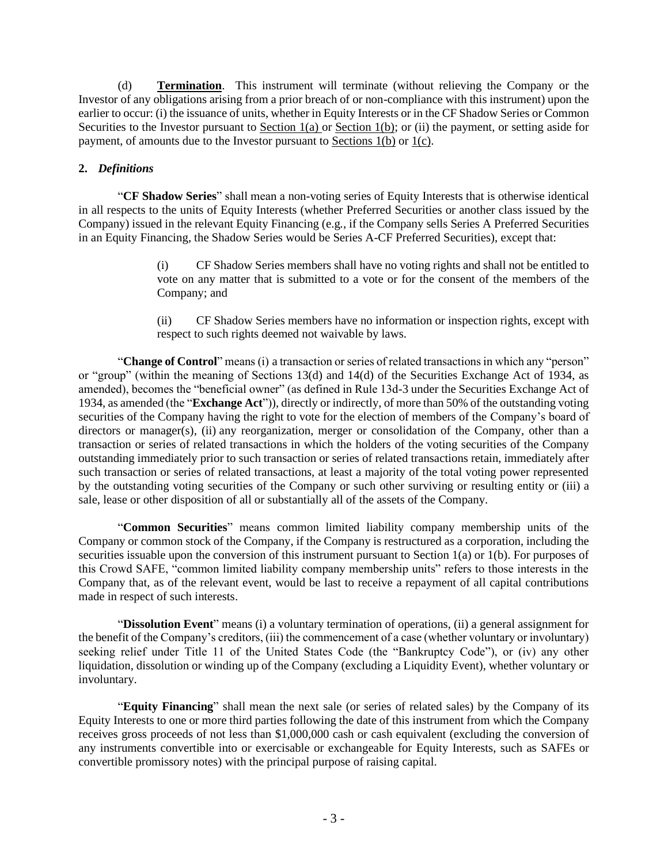(d) **Termination**. This instrument will terminate (without relieving the Company or the Investor of any obligations arising from a prior breach of or non-compliance with this instrument) upon the earlier to occur: (i) the issuance of units, whether in Equity Interests or in the CF Shadow Series or Common Securities to the Investor pursuant to Section 1(a) or Section 1(b); or (ii) the payment, or setting aside for payment, of amounts due to the Investor pursuant to Sections 1(b) or 1(c).

# **2.** *Definitions*

"**CF Shadow Series**" shall mean a non-voting series of Equity Interests that is otherwise identical in all respects to the units of Equity Interests (whether Preferred Securities or another class issued by the Company) issued in the relevant Equity Financing (e.g*.*, if the Company sells Series A Preferred Securities in an Equity Financing, the Shadow Series would be Series A-CF Preferred Securities), except that:

> (i) CF Shadow Series members shall have no voting rights and shall not be entitled to vote on any matter that is submitted to a vote or for the consent of the members of the Company; and

> (ii) CF Shadow Series members have no information or inspection rights, except with respect to such rights deemed not waivable by laws.

"**Change of Control**" means (i) a transaction or series of related transactions in which any "person" or "group" (within the meaning of Sections 13(d) and 14(d) of the Securities Exchange Act of 1934, as amended), becomes the "beneficial owner" (as defined in Rule 13d-3 under the Securities Exchange Act of 1934, as amended (the "**Exchange Act**")), directly or indirectly, of more than 50% of the outstanding voting securities of the Company having the right to vote for the election of members of the Company's board of directors or manager(s), (ii) any reorganization, merger or consolidation of the Company, other than a transaction or series of related transactions in which the holders of the voting securities of the Company outstanding immediately prior to such transaction or series of related transactions retain, immediately after such transaction or series of related transactions, at least a majority of the total voting power represented by the outstanding voting securities of the Company or such other surviving or resulting entity or (iii) a sale, lease or other disposition of all or substantially all of the assets of the Company.

"**Common Securities**" means common limited liability company membership units of the Company or common stock of the Company, if the Company is restructured as a corporation, including the securities issuable upon the conversion of this instrument pursuant to Section 1(a) or 1(b). For purposes of this Crowd SAFE, "common limited liability company membership units" refers to those interests in the Company that, as of the relevant event, would be last to receive a repayment of all capital contributions made in respect of such interests.

"**Dissolution Event**" means (i) a voluntary termination of operations, (ii) a general assignment for the benefit of the Company's creditors, (iii) the commencement of a case (whether voluntary or involuntary) seeking relief under Title 11 of the United States Code (the "Bankruptcy Code"), or (iv) any other liquidation, dissolution or winding up of the Company (excluding a Liquidity Event), whether voluntary or involuntary.

"**Equity Financing**" shall mean the next sale (or series of related sales) by the Company of its Equity Interests to one or more third parties following the date of this instrument from which the Company receives gross proceeds of not less than \$1,000,000 cash or cash equivalent (excluding the conversion of any instruments convertible into or exercisable or exchangeable for Equity Interests, such as SAFEs or convertible promissory notes) with the principal purpose of raising capital.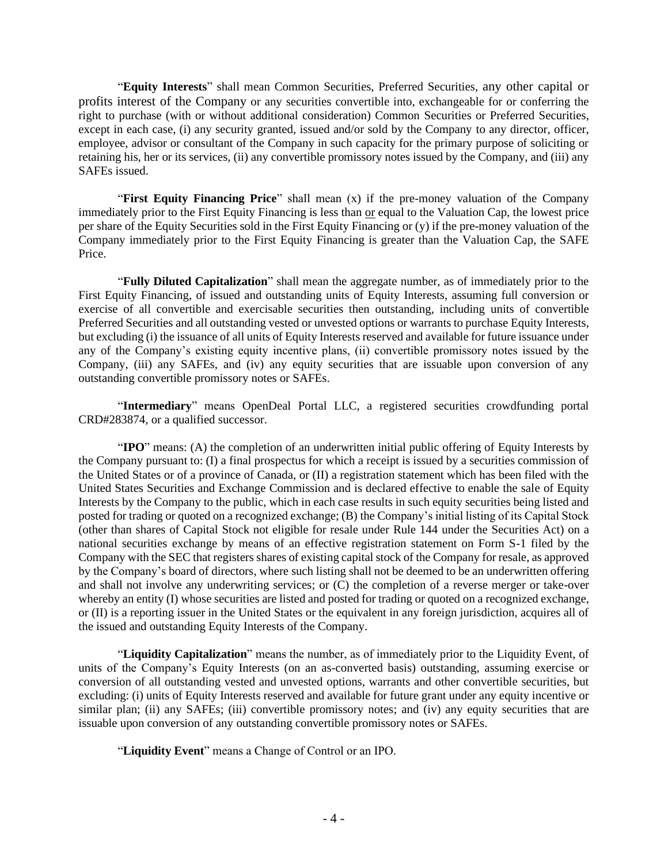"**Equity Interests**" shall mean Common Securities, Preferred Securities, any other capital or profits interest of the Company or any securities convertible into, exchangeable for or conferring the right to purchase (with or without additional consideration) Common Securities or Preferred Securities, except in each case, (i) any security granted, issued and/or sold by the Company to any director, officer, employee, advisor or consultant of the Company in such capacity for the primary purpose of soliciting or retaining his, her or its services, (ii) any convertible promissory notes issued by the Company, and (iii) any SAFEs issued.

"**First Equity Financing Price**" shall mean (x) if the pre-money valuation of the Company immediately prior to the First Equity Financing is less than or equal to the Valuation Cap, the lowest price per share of the Equity Securities sold in the First Equity Financing or (y) if the pre-money valuation of the Company immediately prior to the First Equity Financing is greater than the Valuation Cap, the SAFE Price.

"**Fully Diluted Capitalization**" shall mean the aggregate number, as of immediately prior to the First Equity Financing, of issued and outstanding units of Equity Interests, assuming full conversion or exercise of all convertible and exercisable securities then outstanding, including units of convertible Preferred Securities and all outstanding vested or unvested options or warrants to purchase Equity Interests, but excluding (i) the issuance of all units of Equity Interests reserved and available for future issuance under any of the Company's existing equity incentive plans, (ii) convertible promissory notes issued by the Company, (iii) any SAFEs, and (iv) any equity securities that are issuable upon conversion of any outstanding convertible promissory notes or SAFEs.

"**Intermediary**" means OpenDeal Portal LLC, a registered securities crowdfunding portal CRD#283874, or a qualified successor.

"**IPO**" means: (A) the completion of an underwritten initial public offering of Equity Interests by the Company pursuant to: (I) a final prospectus for which a receipt is issued by a securities commission of the United States or of a province of Canada, or (II) a registration statement which has been filed with the United States Securities and Exchange Commission and is declared effective to enable the sale of Equity Interests by the Company to the public, which in each case results in such equity securities being listed and posted for trading or quoted on a recognized exchange; (B) the Company's initial listing of its Capital Stock (other than shares of Capital Stock not eligible for resale under Rule 144 under the Securities Act) on a national securities exchange by means of an effective registration statement on Form S-1 filed by the Company with the SEC that registers shares of existing capital stock of the Company for resale, as approved by the Company's board of directors, where such listing shall not be deemed to be an underwritten offering and shall not involve any underwriting services; or (C) the completion of a reverse merger or take-over whereby an entity (I) whose securities are listed and posted for trading or quoted on a recognized exchange, or (II) is a reporting issuer in the United States or the equivalent in any foreign jurisdiction, acquires all of the issued and outstanding Equity Interests of the Company.

"**Liquidity Capitalization**" means the number, as of immediately prior to the Liquidity Event, of units of the Company's Equity Interests (on an as-converted basis) outstanding, assuming exercise or conversion of all outstanding vested and unvested options, warrants and other convertible securities, but excluding: (i) units of Equity Interests reserved and available for future grant under any equity incentive or similar plan; (ii) any SAFEs; (iii) convertible promissory notes; and (iv) any equity securities that are issuable upon conversion of any outstanding convertible promissory notes or SAFEs.

"**Liquidity Event**" means a Change of Control or an IPO.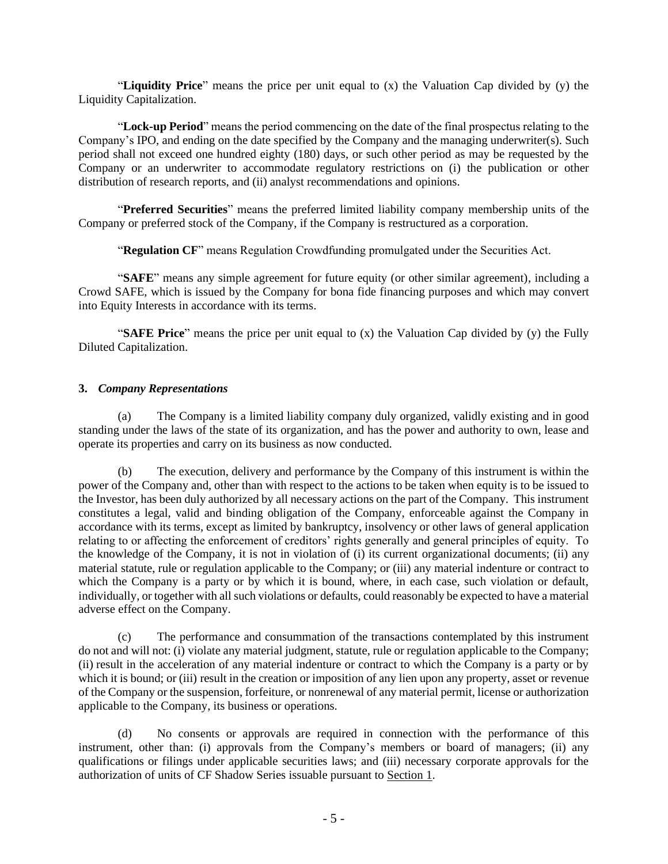"**Liquidity Price**" means the price per unit equal to (x) the Valuation Cap divided by (y) the Liquidity Capitalization.

"**Lock-up Period**" means the period commencing on the date of the final prospectus relating to the Company's IPO, and ending on the date specified by the Company and the managing underwriter(s). Such period shall not exceed one hundred eighty (180) days, or such other period as may be requested by the Company or an underwriter to accommodate regulatory restrictions on (i) the publication or other distribution of research reports, and (ii) analyst recommendations and opinions.

"**Preferred Securities**" means the preferred limited liability company membership units of the Company or preferred stock of the Company, if the Company is restructured as a corporation.

"**Regulation CF**" means Regulation Crowdfunding promulgated under the Securities Act.

"**SAFE**" means any simple agreement for future equity (or other similar agreement), including a Crowd SAFE, which is issued by the Company for bona fide financing purposes and which may convert into Equity Interests in accordance with its terms.

"**SAFE Price**" means the price per unit equal to (x) the Valuation Cap divided by (y) the Fully Diluted Capitalization.

#### **3.** *Company Representations*

(a) The Company is a limited liability company duly organized, validly existing and in good standing under the laws of the state of its organization, and has the power and authority to own, lease and operate its properties and carry on its business as now conducted.

(b) The execution, delivery and performance by the Company of this instrument is within the power of the Company and, other than with respect to the actions to be taken when equity is to be issued to the Investor, has been duly authorized by all necessary actions on the part of the Company. This instrument constitutes a legal, valid and binding obligation of the Company, enforceable against the Company in accordance with its terms, except as limited by bankruptcy, insolvency or other laws of general application relating to or affecting the enforcement of creditors' rights generally and general principles of equity. To the knowledge of the Company, it is not in violation of (i) its current organizational documents; (ii) any material statute, rule or regulation applicable to the Company; or (iii) any material indenture or contract to which the Company is a party or by which it is bound, where, in each case, such violation or default, individually, or together with all such violations or defaults, could reasonably be expected to have a material adverse effect on the Company.

(c) The performance and consummation of the transactions contemplated by this instrument do not and will not: (i) violate any material judgment, statute, rule or regulation applicable to the Company; (ii) result in the acceleration of any material indenture or contract to which the Company is a party or by which it is bound; or (iii) result in the creation or imposition of any lien upon any property, asset or revenue of the Company or the suspension, forfeiture, or nonrenewal of any material permit, license or authorization applicable to the Company, its business or operations.

(d) No consents or approvals are required in connection with the performance of this instrument, other than: (i) approvals from the Company's members or board of managers; (ii) any qualifications or filings under applicable securities laws; and (iii) necessary corporate approvals for the authorization of units of CF Shadow Series issuable pursuant to Section 1.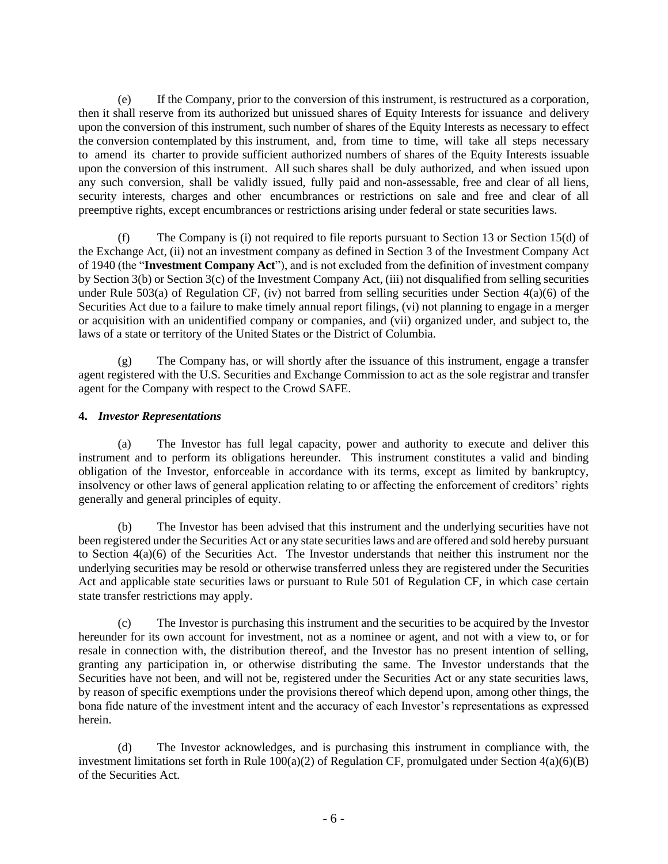(e) If the Company, prior to the conversion of this instrument, is restructured as a corporation, then it shall reserve from its authorized but unissued shares of Equity Interests for issuance and delivery upon the conversion of this instrument, such number of shares of the Equity Interests as necessary to effect the conversion contemplated by this instrument, and, from time to time, will take all steps necessary to amend its charter to provide sufficient authorized numbers of shares of the Equity Interests issuable upon the conversion of this instrument. All such shares shall be duly authorized, and when issued upon any such conversion, shall be validly issued, fully paid and non-assessable, free and clear of all liens, security interests, charges and other encumbrances or restrictions on sale and free and clear of all preemptive rights, except encumbrances or restrictions arising under federal or state securities laws.

(f) The Company is (i) not required to file reports pursuant to Section 13 or Section 15(d) of the Exchange Act, (ii) not an investment company as defined in Section 3 of the Investment Company Act of 1940 (the "**Investment Company Act**"), and is not excluded from the definition of investment company by Section 3(b) or Section 3(c) of the Investment Company Act, (iii) not disqualified from selling securities under Rule 503(a) of Regulation CF, (iv) not barred from selling securities under Section  $4(a)(6)$  of the Securities Act due to a failure to make timely annual report filings, (vi) not planning to engage in a merger or acquisition with an unidentified company or companies, and (vii) organized under, and subject to, the laws of a state or territory of the United States or the District of Columbia.

(g) The Company has, or will shortly after the issuance of this instrument, engage a transfer agent registered with the U.S. Securities and Exchange Commission to act as the sole registrar and transfer agent for the Company with respect to the Crowd SAFE.

# **4.** *Investor Representations*

(a) The Investor has full legal capacity, power and authority to execute and deliver this instrument and to perform its obligations hereunder. This instrument constitutes a valid and binding obligation of the Investor, enforceable in accordance with its terms, except as limited by bankruptcy, insolvency or other laws of general application relating to or affecting the enforcement of creditors' rights generally and general principles of equity.

(b) The Investor has been advised that this instrument and the underlying securities have not been registered under the Securities Act or any state securities laws and are offered and sold hereby pursuant to Section 4(a)(6) of the Securities Act. The Investor understands that neither this instrument nor the underlying securities may be resold or otherwise transferred unless they are registered under the Securities Act and applicable state securities laws or pursuant to Rule 501 of Regulation CF, in which case certain state transfer restrictions may apply.

(c) The Investor is purchasing this instrument and the securities to be acquired by the Investor hereunder for its own account for investment, not as a nominee or agent, and not with a view to, or for resale in connection with, the distribution thereof, and the Investor has no present intention of selling, granting any participation in, or otherwise distributing the same. The Investor understands that the Securities have not been, and will not be, registered under the Securities Act or any state securities laws, by reason of specific exemptions under the provisions thereof which depend upon, among other things, the bona fide nature of the investment intent and the accuracy of each Investor's representations as expressed herein.

(d) The Investor acknowledges, and is purchasing this instrument in compliance with, the investment limitations set forth in Rule 100(a)(2) of Regulation CF, promulgated under Section 4(a)(6)(B) of the Securities Act.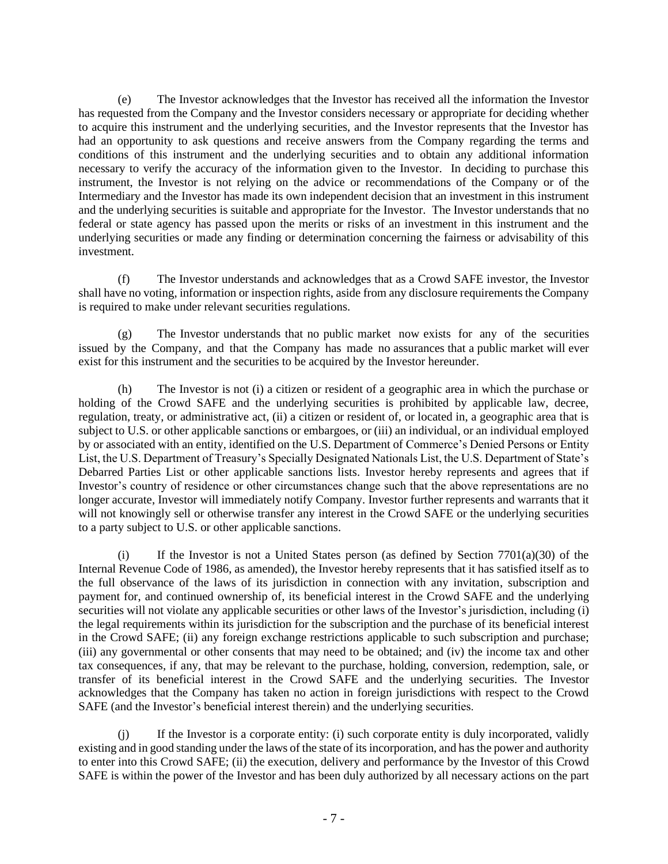(e) The Investor acknowledges that the Investor has received all the information the Investor has requested from the Company and the Investor considers necessary or appropriate for deciding whether to acquire this instrument and the underlying securities, and the Investor represents that the Investor has had an opportunity to ask questions and receive answers from the Company regarding the terms and conditions of this instrument and the underlying securities and to obtain any additional information necessary to verify the accuracy of the information given to the Investor. In deciding to purchase this instrument, the Investor is not relying on the advice or recommendations of the Company or of the Intermediary and the Investor has made its own independent decision that an investment in this instrument and the underlying securities is suitable and appropriate for the Investor. The Investor understands that no federal or state agency has passed upon the merits or risks of an investment in this instrument and the underlying securities or made any finding or determination concerning the fairness or advisability of this investment.

(f) The Investor understands and acknowledges that as a Crowd SAFE investor, the Investor shall have no voting, information or inspection rights, aside from any disclosure requirements the Company is required to make under relevant securities regulations.

(g) The Investor understands that no public market now exists for any of the securities issued by the Company, and that the Company has made no assurances that a public market will ever exist for this instrument and the securities to be acquired by the Investor hereunder.

(h) The Investor is not (i) a citizen or resident of a geographic area in which the purchase or holding of the Crowd SAFE and the underlying securities is prohibited by applicable law, decree, regulation, treaty, or administrative act, (ii) a citizen or resident of, or located in, a geographic area that is subject to U.S. or other applicable sanctions or embargoes, or (iii) an individual, or an individual employed by or associated with an entity, identified on the U.S. Department of Commerce's Denied Persons or Entity List, the U.S. Department of Treasury's Specially Designated Nationals List, the U.S. Department of State's Debarred Parties List or other applicable sanctions lists. Investor hereby represents and agrees that if Investor's country of residence or other circumstances change such that the above representations are no longer accurate, Investor will immediately notify Company. Investor further represents and warrants that it will not knowingly sell or otherwise transfer any interest in the Crowd SAFE or the underlying securities to a party subject to U.S. or other applicable sanctions.

(i) If the Investor is not a United States person (as defined by Section 7701(a)(30) of the Internal Revenue Code of 1986, as amended), the Investor hereby represents that it has satisfied itself as to the full observance of the laws of its jurisdiction in connection with any invitation, subscription and payment for, and continued ownership of, its beneficial interest in the Crowd SAFE and the underlying securities will not violate any applicable securities or other laws of the Investor's jurisdiction, including (i) the legal requirements within its jurisdiction for the subscription and the purchase of its beneficial interest in the Crowd SAFE; (ii) any foreign exchange restrictions applicable to such subscription and purchase; (iii) any governmental or other consents that may need to be obtained; and (iv) the income tax and other tax consequences, if any, that may be relevant to the purchase, holding, conversion, redemption, sale, or transfer of its beneficial interest in the Crowd SAFE and the underlying securities. The Investor acknowledges that the Company has taken no action in foreign jurisdictions with respect to the Crowd SAFE (and the Investor's beneficial interest therein) and the underlying securities.

(j) If the Investor is a corporate entity: (i) such corporate entity is duly incorporated, validly existing and in good standing under the laws of the state of its incorporation, and has the power and authority to enter into this Crowd SAFE; (ii) the execution, delivery and performance by the Investor of this Crowd SAFE is within the power of the Investor and has been duly authorized by all necessary actions on the part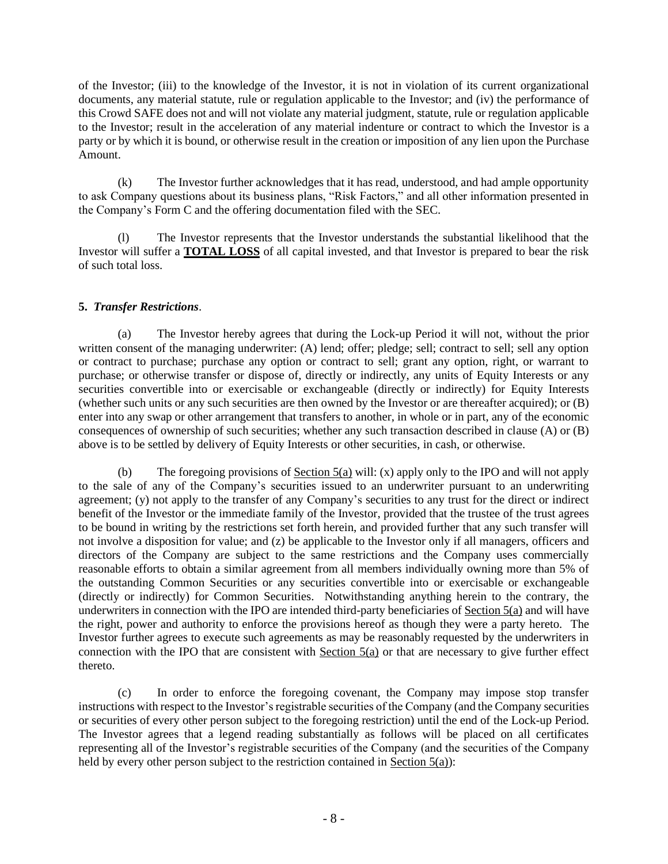of the Investor; (iii) to the knowledge of the Investor, it is not in violation of its current organizational documents, any material statute, rule or regulation applicable to the Investor; and (iv) the performance of this Crowd SAFE does not and will not violate any material judgment, statute, rule or regulation applicable to the Investor; result in the acceleration of any material indenture or contract to which the Investor is a party or by which it is bound, or otherwise result in the creation or imposition of any lien upon the Purchase Amount.

(k) The Investor further acknowledges that it has read, understood, and had ample opportunity to ask Company questions about its business plans, "Risk Factors," and all other information presented in the Company's Form C and the offering documentation filed with the SEC.

(l) The Investor represents that the Investor understands the substantial likelihood that the Investor will suffer a **TOTAL LOSS** of all capital invested, and that Investor is prepared to bear the risk of such total loss.

# **5.** *Transfer Restrictions*.

(a) The Investor hereby agrees that during the Lock-up Period it will not, without the prior written consent of the managing underwriter: (A) lend; offer; pledge; sell; contract to sell; sell any option or contract to purchase; purchase any option or contract to sell; grant any option, right, or warrant to purchase; or otherwise transfer or dispose of, directly or indirectly, any units of Equity Interests or any securities convertible into or exercisable or exchangeable (directly or indirectly) for Equity Interests (whether such units or any such securities are then owned by the Investor or are thereafter acquired); or (B) enter into any swap or other arrangement that transfers to another, in whole or in part, any of the economic consequences of ownership of such securities; whether any such transaction described in clause (A) or (B) above is to be settled by delivery of Equity Interests or other securities, in cash, or otherwise.

(b) The foregoing provisions of  $Section 5(a)$  will: (x) apply only to the IPO and will not apply to the sale of any of the Company's securities issued to an underwriter pursuant to an underwriting agreement; (y) not apply to the transfer of any Company's securities to any trust for the direct or indirect benefit of the Investor or the immediate family of the Investor, provided that the trustee of the trust agrees to be bound in writing by the restrictions set forth herein, and provided further that any such transfer will not involve a disposition for value; and (z) be applicable to the Investor only if all managers, officers and directors of the Company are subject to the same restrictions and the Company uses commercially reasonable efforts to obtain a similar agreement from all members individually owning more than 5% of the outstanding Common Securities or any securities convertible into or exercisable or exchangeable (directly or indirectly) for Common Securities. Notwithstanding anything herein to the contrary, the underwriters in connection with the IPO are intended third-party beneficiaries of Section 5(a) and will have the right, power and authority to enforce the provisions hereof as though they were a party hereto. The Investor further agrees to execute such agreements as may be reasonably requested by the underwriters in connection with the IPO that are consistent with Section  $5(a)$  or that are necessary to give further effect thereto.

(c) In order to enforce the foregoing covenant, the Company may impose stop transfer instructions with respect to the Investor's registrable securities of the Company (and the Company securities or securities of every other person subject to the foregoing restriction) until the end of the Lock-up Period. The Investor agrees that a legend reading substantially as follows will be placed on all certificates representing all of the Investor's registrable securities of the Company (and the securities of the Company held by every other person subject to the restriction contained in Section  $5(a)$ :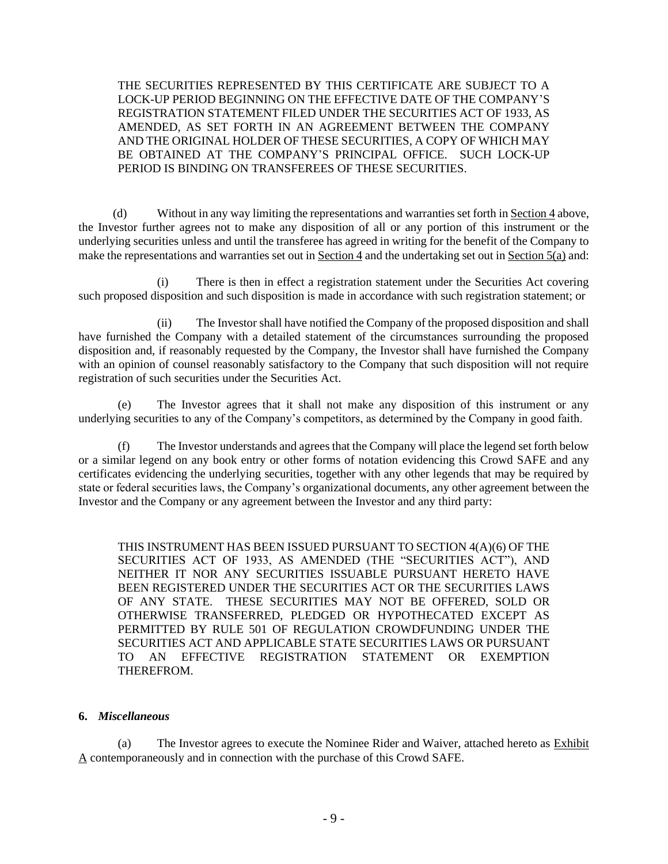THE SECURITIES REPRESENTED BY THIS CERTIFICATE ARE SUBJECT TO A LOCK-UP PERIOD BEGINNING ON THE EFFECTIVE DATE OF THE COMPANY'S REGISTRATION STATEMENT FILED UNDER THE SECURITIES ACT OF 1933, AS AMENDED, AS SET FORTH IN AN AGREEMENT BETWEEN THE COMPANY AND THE ORIGINAL HOLDER OF THESE SECURITIES, A COPY OF WHICH MAY BE OBTAINED AT THE COMPANY'S PRINCIPAL OFFICE. SUCH LOCK-UP PERIOD IS BINDING ON TRANSFEREES OF THESE SECURITIES.

(d) Without in any way limiting the representations and warranties set forth in Section 4 above, the Investor further agrees not to make any disposition of all or any portion of this instrument or the underlying securities unless and until the transferee has agreed in writing for the benefit of the Company to make the representations and warranties set out in Section 4 and the undertaking set out in Section 5(a) and:

(i) There is then in effect a registration statement under the Securities Act covering such proposed disposition and such disposition is made in accordance with such registration statement; or

(ii) The Investor shall have notified the Company of the proposed disposition and shall have furnished the Company with a detailed statement of the circumstances surrounding the proposed disposition and, if reasonably requested by the Company, the Investor shall have furnished the Company with an opinion of counsel reasonably satisfactory to the Company that such disposition will not require registration of such securities under the Securities Act.

(e) The Investor agrees that it shall not make any disposition of this instrument or any underlying securities to any of the Company's competitors, as determined by the Company in good faith.

(f) The Investor understands and agrees that the Company will place the legend set forth below or a similar legend on any book entry or other forms of notation evidencing this Crowd SAFE and any certificates evidencing the underlying securities, together with any other legends that may be required by state or federal securities laws, the Company's organizational documents, any other agreement between the Investor and the Company or any agreement between the Investor and any third party:

THIS INSTRUMENT HAS BEEN ISSUED PURSUANT TO SECTION 4(A)(6) OF THE SECURITIES ACT OF 1933, AS AMENDED (THE "SECURITIES ACT"), AND NEITHER IT NOR ANY SECURITIES ISSUABLE PURSUANT HERETO HAVE BEEN REGISTERED UNDER THE SECURITIES ACT OR THE SECURITIES LAWS OF ANY STATE. THESE SECURITIES MAY NOT BE OFFERED, SOLD OR OTHERWISE TRANSFERRED, PLEDGED OR HYPOTHECATED EXCEPT AS PERMITTED BY RULE 501 OF REGULATION CROWDFUNDING UNDER THE SECURITIES ACT AND APPLICABLE STATE SECURITIES LAWS OR PURSUANT TO AN EFFECTIVE REGISTRATION STATEMENT OR EXEMPTION THEREFROM.

### **6.** *Miscellaneous*

(a) The Investor agrees to execute the Nominee Rider and Waiver, attached hereto as Exhibit A contemporaneously and in connection with the purchase of this Crowd SAFE.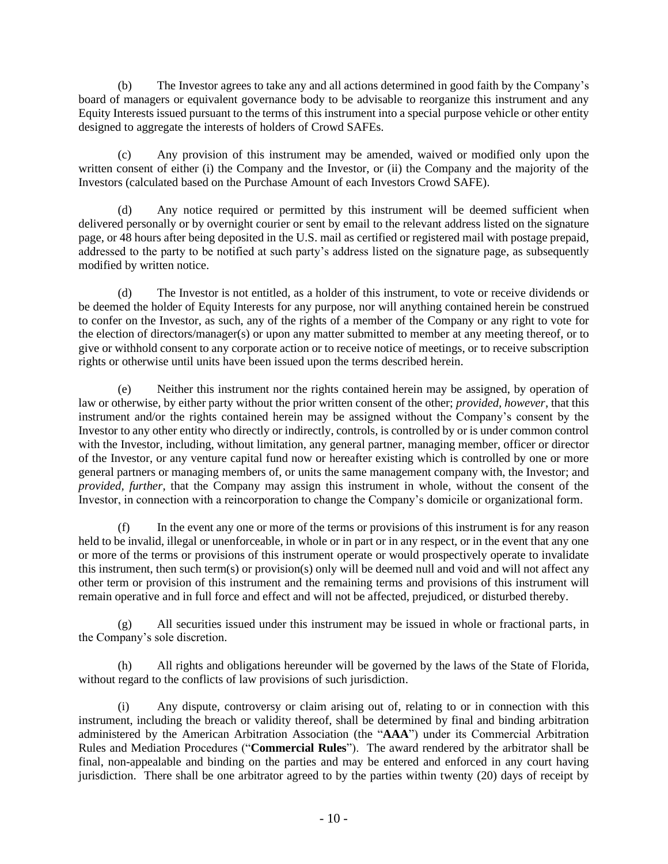(b) The Investor agrees to take any and all actions determined in good faith by the Company's board of managers or equivalent governance body to be advisable to reorganize this instrument and any Equity Interests issued pursuant to the terms of this instrument into a special purpose vehicle or other entity designed to aggregate the interests of holders of Crowd SAFEs.

(c) Any provision of this instrument may be amended, waived or modified only upon the written consent of either (i) the Company and the Investor, or (ii) the Company and the majority of the Investors (calculated based on the Purchase Amount of each Investors Crowd SAFE).

(d) Any notice required or permitted by this instrument will be deemed sufficient when delivered personally or by overnight courier or sent by email to the relevant address listed on the signature page, or 48 hours after being deposited in the U.S. mail as certified or registered mail with postage prepaid, addressed to the party to be notified at such party's address listed on the signature page, as subsequently modified by written notice.

(d) The Investor is not entitled, as a holder of this instrument, to vote or receive dividends or be deemed the holder of Equity Interests for any purpose, nor will anything contained herein be construed to confer on the Investor, as such, any of the rights of a member of the Company or any right to vote for the election of directors/manager(s) or upon any matter submitted to member at any meeting thereof, or to give or withhold consent to any corporate action or to receive notice of meetings, or to receive subscription rights or otherwise until units have been issued upon the terms described herein.

(e) Neither this instrument nor the rights contained herein may be assigned, by operation of law or otherwise, by either party without the prior written consent of the other; *provided, however*, that this instrument and/or the rights contained herein may be assigned without the Company's consent by the Investor to any other entity who directly or indirectly, controls, is controlled by or is under common control with the Investor, including, without limitation, any general partner, managing member, officer or director of the Investor, or any venture capital fund now or hereafter existing which is controlled by one or more general partners or managing members of, or units the same management company with, the Investor; and *provided, further*, that the Company may assign this instrument in whole, without the consent of the Investor, in connection with a reincorporation to change the Company's domicile or organizational form.

(f) In the event any one or more of the terms or provisions of this instrument is for any reason held to be invalid, illegal or unenforceable, in whole or in part or in any respect, or in the event that any one or more of the terms or provisions of this instrument operate or would prospectively operate to invalidate this instrument, then such term(s) or provision(s) only will be deemed null and void and will not affect any other term or provision of this instrument and the remaining terms and provisions of this instrument will remain operative and in full force and effect and will not be affected, prejudiced, or disturbed thereby.

(g) All securities issued under this instrument may be issued in whole or fractional parts, in the Company's sole discretion.

(h) All rights and obligations hereunder will be governed by the laws of the State of Florida, without regard to the conflicts of law provisions of such jurisdiction.

(i) Any dispute, controversy or claim arising out of, relating to or in connection with this instrument, including the breach or validity thereof, shall be determined by final and binding arbitration administered by the American Arbitration Association (the "**AAA**") under its Commercial Arbitration Rules and Mediation Procedures ("**Commercial Rules**"). The award rendered by the arbitrator shall be final, non-appealable and binding on the parties and may be entered and enforced in any court having jurisdiction. There shall be one arbitrator agreed to by the parties within twenty (20) days of receipt by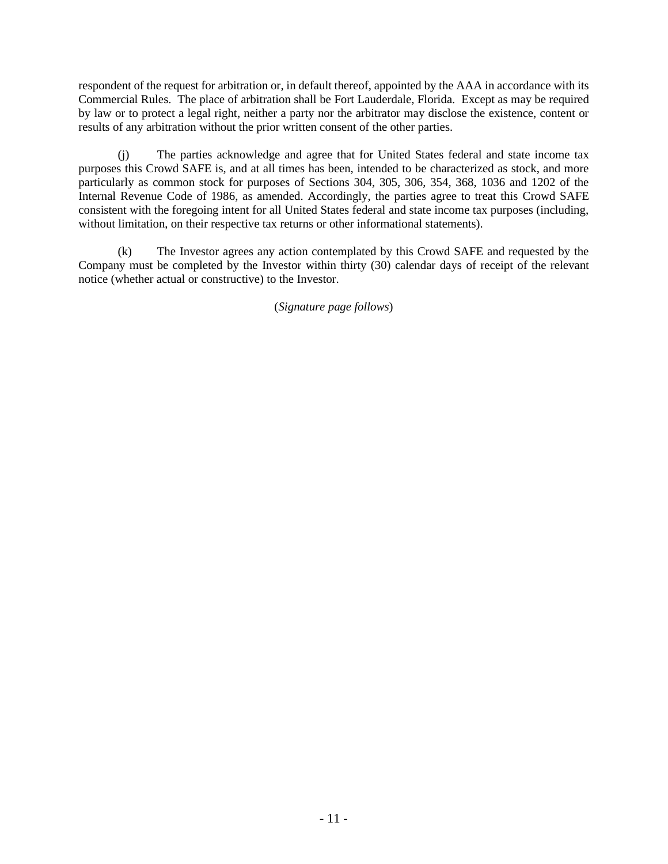respondent of the request for arbitration or, in default thereof, appointed by the AAA in accordance with its Commercial Rules. The place of arbitration shall be Fort Lauderdale, Florida. Except as may be required by law or to protect a legal right, neither a party nor the arbitrator may disclose the existence, content or results of any arbitration without the prior written consent of the other parties.

(j) The parties acknowledge and agree that for United States federal and state income tax purposes this Crowd SAFE is, and at all times has been, intended to be characterized as stock, and more particularly as common stock for purposes of Sections 304, 305, 306, 354, 368, 1036 and 1202 of the Internal Revenue Code of 1986, as amended. Accordingly, the parties agree to treat this Crowd SAFE consistent with the foregoing intent for all United States federal and state income tax purposes (including, without limitation, on their respective tax returns or other informational statements).

(k) The Investor agrees any action contemplated by this Crowd SAFE and requested by the Company must be completed by the Investor within thirty (30) calendar days of receipt of the relevant notice (whether actual or constructive) to the Investor.

(*Signature page follows*)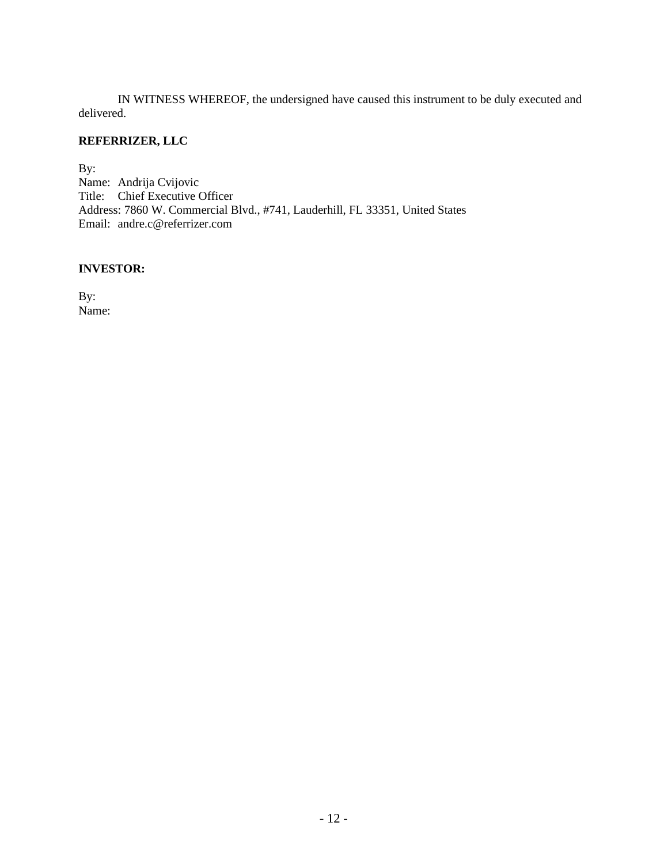IN WITNESS WHEREOF, the undersigned have caused this instrument to be duly executed and delivered.

# **REFERRIZER, LLC**

By: Name: Andrija Cvijovic Title: Chief Executive Officer Address: 7860 W. Commercial Blvd., #741, Lauderhill, FL 33351, United States Email: andre.c@referrizer.com

#### **INVESTOR:**

By: Name: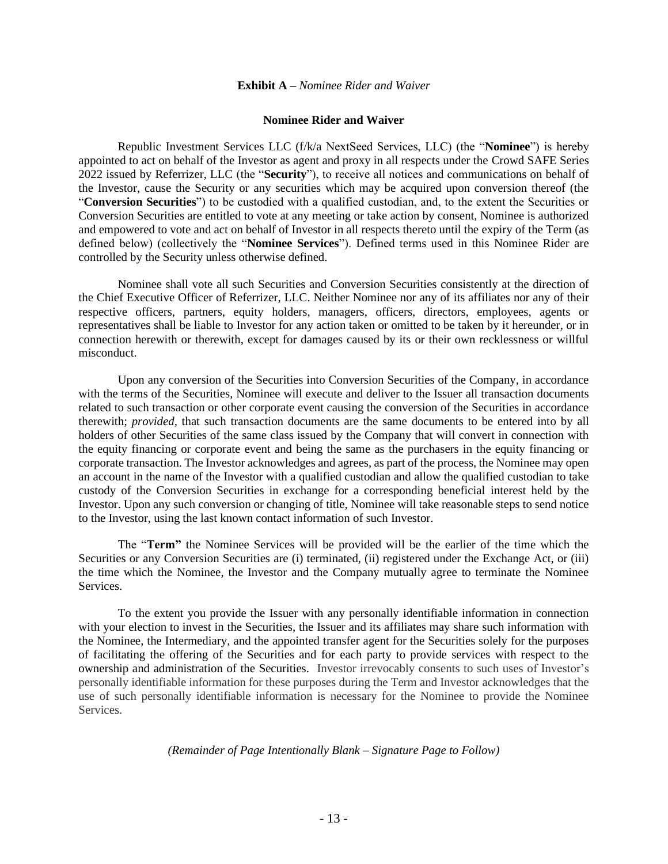#### **Exhibit A –** *Nominee Rider and Waiver*

#### **Nominee Rider and Waiver**

Republic Investment Services LLC (f/k/a NextSeed Services, LLC) (the "**Nominee**") is hereby appointed to act on behalf of the Investor as agent and proxy in all respects under the Crowd SAFE Series 2022 issued by Referrizer, LLC (the "**Security**"), to receive all notices and communications on behalf of the Investor, cause the Security or any securities which may be acquired upon conversion thereof (the "**Conversion Securities**") to be custodied with a qualified custodian, and, to the extent the Securities or Conversion Securities are entitled to vote at any meeting or take action by consent, Nominee is authorized and empowered to vote and act on behalf of Investor in all respects thereto until the expiry of the Term (as defined below) (collectively the "**Nominee Services**"). Defined terms used in this Nominee Rider are controlled by the Security unless otherwise defined.

Nominee shall vote all such Securities and Conversion Securities consistently at the direction of the Chief Executive Officer of Referrizer, LLC. Neither Nominee nor any of its affiliates nor any of their respective officers, partners, equity holders, managers, officers, directors, employees, agents or representatives shall be liable to Investor for any action taken or omitted to be taken by it hereunder, or in connection herewith or therewith, except for damages caused by its or their own recklessness or willful misconduct.

Upon any conversion of the Securities into Conversion Securities of the Company, in accordance with the terms of the Securities, Nominee will execute and deliver to the Issuer all transaction documents related to such transaction or other corporate event causing the conversion of the Securities in accordance therewith; *provided,* that such transaction documents are the same documents to be entered into by all holders of other Securities of the same class issued by the Company that will convert in connection with the equity financing or corporate event and being the same as the purchasers in the equity financing or corporate transaction. The Investor acknowledges and agrees, as part of the process, the Nominee may open an account in the name of the Investor with a qualified custodian and allow the qualified custodian to take custody of the Conversion Securities in exchange for a corresponding beneficial interest held by the Investor. Upon any such conversion or changing of title, Nominee will take reasonable steps to send notice to the Investor, using the last known contact information of such Investor.

The "**Term"** the Nominee Services will be provided will be the earlier of the time which the Securities or any Conversion Securities are (i) terminated, (ii) registered under the Exchange Act, or (iii) the time which the Nominee, the Investor and the Company mutually agree to terminate the Nominee Services.

To the extent you provide the Issuer with any personally identifiable information in connection with your election to invest in the Securities, the Issuer and its affiliates may share such information with the Nominee, the Intermediary, and the appointed transfer agent for the Securities solely for the purposes of facilitating the offering of the Securities and for each party to provide services with respect to the ownership and administration of the Securities. Investor irrevocably consents to such uses of Investor's personally identifiable information for these purposes during the Term and Investor acknowledges that the use of such personally identifiable information is necessary for the Nominee to provide the Nominee **Services** 

#### *(Remainder of Page Intentionally Blank – Signature Page to Follow)*